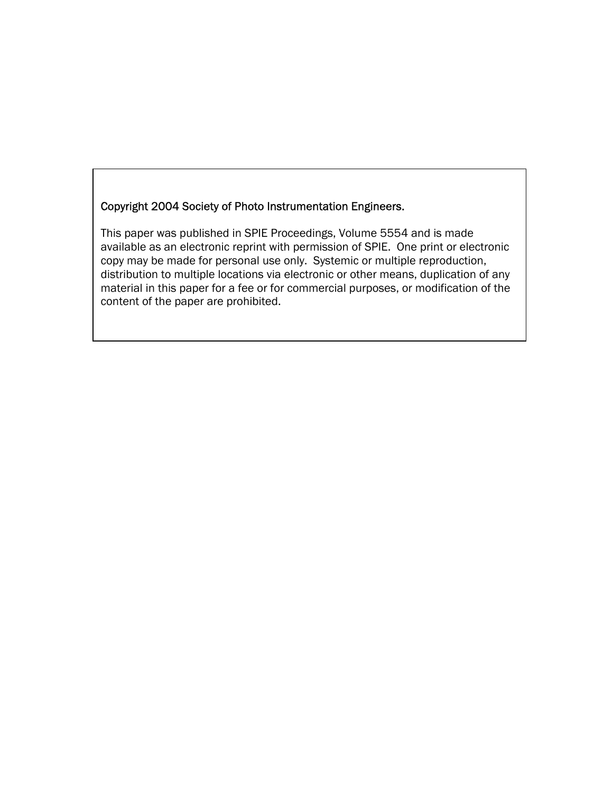# Copyright 2004 Society of Photo Instrumentation Engineers.

This paper was published in SPIE Proceedings, Volume 5554 and is made available as an electronic reprint with permission of SPIE. One print or electronic copy may be made for personal use only. Systemic or multiple reproduction, distribution to multiple locations via electronic or other means, duplication of any material in this paper for a fee or for commercial purposes, or modification of the content of the paper are prohibited.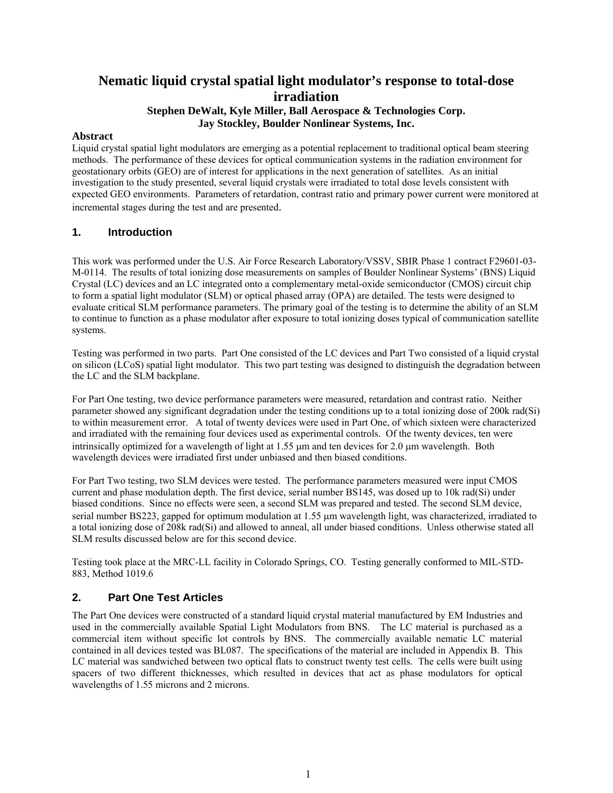# **Nematic liquid crystal spatial light modulator's response to total-dose irradiation**

### **Stephen DeWalt, Kyle Miller, Ball Aerospace & Technologies Corp. Jay Stockley, Boulder Nonlinear Systems, Inc.**

# **Abstract**

Liquid crystal spatial light modulators are emerging as a potential replacement to traditional optical beam steering methods. The performance of these devices for optical communication systems in the radiation environment for geostationary orbits (GEO) are of interest for applications in the next generation of satellites. As an initial investigation to the study presented, several liquid crystals were irradiated to total dose levels consistent with expected GEO environments. Parameters of retardation, contrast ratio and primary power current were monitored at incremental stages during the test and are presented.

# **1. Introduction**

This work was performed under the U.S. Air Force Research Laboratory/VSSV, SBIR Phase 1 contract F29601-03- M-0114. The results of total ionizing dose measurements on samples of Boulder Nonlinear Systems' (BNS) Liquid Crystal (LC) devices and an LC integrated onto a complementary metal-oxide semiconductor (CMOS) circuit chip to form a spatial light modulator (SLM) or optical phased array (OPA) are detailed. The tests were designed to evaluate critical SLM performance parameters. The primary goal of the testing is to determine the ability of an SLM to continue to function as a phase modulator after exposure to total ionizing doses typical of communication satellite systems.

Testing was performed in two parts. Part One consisted of the LC devices and Part Two consisted of a liquid crystal on silicon (LCoS) spatial light modulator. This two part testing was designed to distinguish the degradation between the LC and the SLM backplane.

For Part One testing, two device performance parameters were measured, retardation and contrast ratio. Neither parameter showed any significant degradation under the testing conditions up to a total ionizing dose of 200k rad(Si) to within measurement error. A total of twenty devices were used in Part One, of which sixteen were characterized and irradiated with the remaining four devices used as experimental controls. Of the twenty devices, ten were intrinsically optimized for a wavelength of light at 1.55 µm and ten devices for 2.0 µm wavelength. Both wavelength devices were irradiated first under unbiased and then biased conditions.

For Part Two testing, two SLM devices were tested. The performance parameters measured were input CMOS current and phase modulation depth. The first device, serial number BS145, was dosed up to 10k rad(Si) under biased conditions. Since no effects were seen, a second SLM was prepared and tested. The second SLM device, serial number BS223, gapped for optimum modulation at 1.55 µm wavelength light, was characterized, irradiated to a total ionizing dose of 208k rad(Si) and allowed to anneal, all under biased conditions. Unless otherwise stated all SLM results discussed below are for this second device.

Testing took place at the MRC-LL facility in Colorado Springs, CO. Testing generally conformed to MIL-STD-883, Method 1019.6

# **2. Part One Test Articles**

The Part One devices were constructed of a standard liquid crystal material manufactured by EM Industries and used in the commercially available Spatial Light Modulators from BNS. The LC material is purchased as a commercial item without specific lot controls by BNS. The commercially available nematic LC material contained in all devices tested was BL087. The specifications of the material are included in Appendix B. This LC material was sandwiched between two optical flats to construct twenty test cells. The cells were built using spacers of two different thicknesses, which resulted in devices that act as phase modulators for optical wavelengths of 1.55 microns and 2 microns.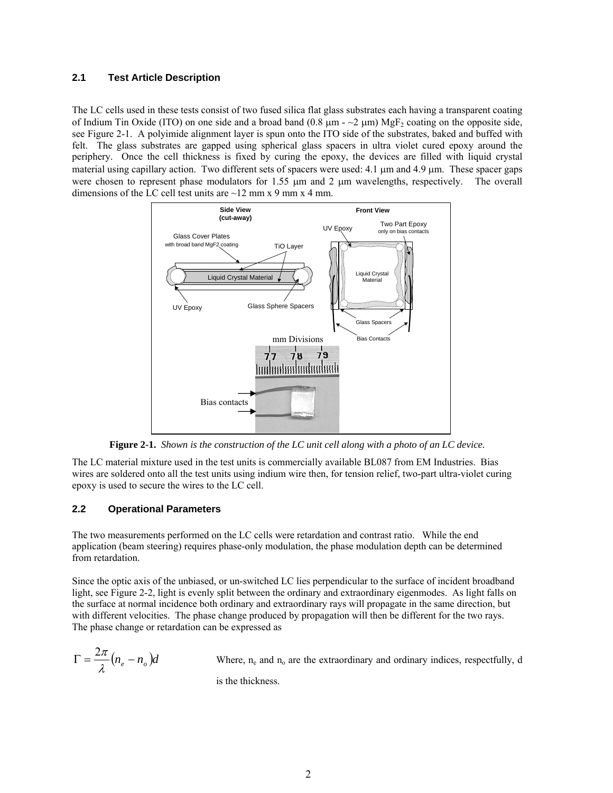### **2.1 Test Article Description**

The LC cells used in these tests consist of two fused silica flat glass substrates each having a transparent coating of Indium Tin Oxide (ITO) on one side and a broad band (0.8  $\mu$ m -  $\sim$ 2  $\mu$ m) MgF<sub>2</sub> coating on the opposite side, see Figure 2-1. A polyimide alignment layer is spun onto the ITO side of the substrates, baked and buffed with felt. The glass substrates are gapped using spherical glass spacers in ultra violet cured epoxy around the periphery. Once the cell thickness is fixed by curing the epoxy, the devices are filled with liquid crystal material using capillary action. Two different sets of spacers were used: 4.1  $\mu$ m and 4.9  $\mu$ m. These spacer gaps were chosen to represent phase modulators for 1.55  $\mu$ m and 2  $\mu$ m wavelengths, respectively. The overall dimensions of the LC cell test units are  $\sim$ 12 mm x 9 mm x 4 mm.



**Figure 2-1.** *Shown is the construction of the LC unit cell along with a photo of an LC device.* 

The LC material mixture used in the test units is commercially available BL087 from EM Industries. Bias wires are soldered onto all the test units using indium wire then, for tension relief, two-part ultra-violet curing epoxy is used to secure the wires to the LC cell.

### **2.2 Operational Parameters**

The two measurements performed on the LC cells were retardation and contrast ratio. While the end application (beam steering) requires phase-only modulation, the phase modulation depth can be determined from retardation.

Since the optic axis of the unbiased, or un-switched LC lies perpendicular to the surface of incident broadband light, see Figure 2-2, light is evenly split between the ordinary and extraordinary eigenmodes. As light falls on the surface at normal incidence both ordinary and extraordinary rays will propagate in the same direction, but with different velocities. The phase change produced by propagation will then be different for the two rays. The phase change or retardation can be expressed as

$$
\Gamma = \frac{2\pi}{\lambda} (n_e - n_o) d
$$

Where,  $n_e$  and  $n_o$  are the extraordinary and ordinary indices, respectfully, d

is the thickness.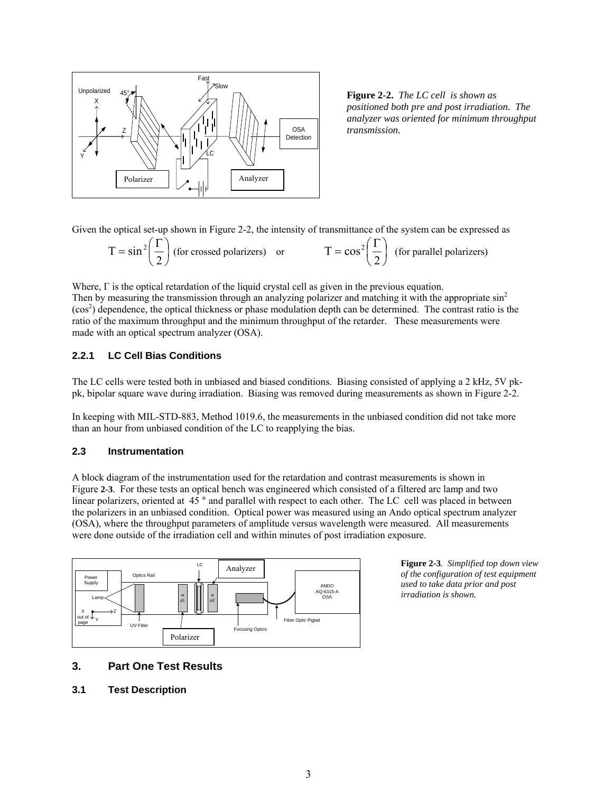

**Figure 2-2.** *The LC cell is shown as positioned both pre and post irradiation. The analyzer was oriented for minimum throughput transmission.* 

Given the optical set-up shown in Figure 2-2, the intensity of transmittance of the system can be expressed as

$$
T = \sin^2\left(\frac{\Gamma}{2}\right)
$$
 (for crossed polarizers) or 
$$
T = \cos^2\left(\frac{\Gamma}{2}\right)
$$
 (for parallel polarizers)

Where, Γ is the optical retardation of the liquid crystal cell as given in the previous equation. Then by measuring the transmission through an analyzing polarizer and matching it with the appropriate sin<sup>2</sup> (cos<sup>2</sup>) dependence, the optical thickness or phase modulation depth can be determined. The contrast ratio is the ratio of the maximum throughput and the minimum throughput of the retarder. These measurements were made with an optical spectrum analyzer (OSA).

### **2.2.1 LC Cell Bias Conditions**

The LC cells were tested both in unbiased and biased conditions. Biasing consisted of applying a 2 kHz, 5V pkpk, bipolar square wave during irradiation. Biasing was removed during measurements as shown in Figure 2-2.

In keeping with MIL-STD-883, Method 1019.6, the measurements in the unbiased condition did not take more than an hour from unbiased condition of the LC to reapplying the bias.

# **2.3 Instrumentation**

A block diagram of the instrumentation used for the retardation and contrast measurements is shown in Figure **2-3**. For these tests an optical bench was engineered which consisted of a filtered arc lamp and two linear polarizers, oriented at 45<sup>°</sup> and parallel with respect to each other. The LC cell was placed in between the polarizers in an unbiased condition. Optical power was measured using an Ando optical spectrum analyzer (OSA), where the throughput parameters of amplitude versus wavelength were measured. All measurements were done outside of the irradiation cell and within minutes of post irradiation exposure.



**Figure 2-3***. Simplified top down view of the configuration of test equipment used to take data prior and post irradiation is shown.* 

# **3. Part One Test Results**

### **3.1 Test Description**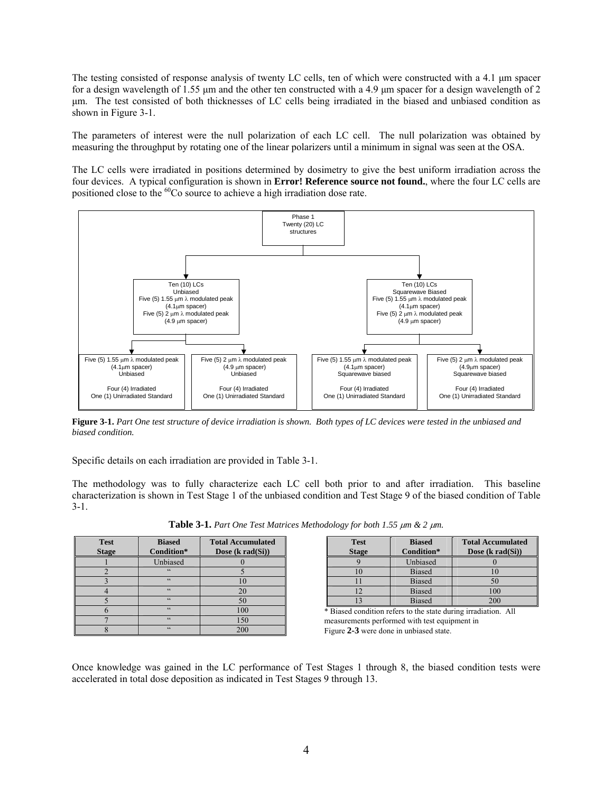The testing consisted of response analysis of twenty LC cells, ten of which were constructed with a 4.1 µm spacer for a design wavelength of 1.55 um and the other ten constructed with a 4.9 um spacer for a design wavelength of 2 µm. The test consisted of both thicknesses of LC cells being irradiated in the biased and unbiased condition as shown in Figure 3-1.

The parameters of interest were the null polarization of each LC cell. The null polarization was obtained by measuring the throughput by rotating one of the linear polarizers until a minimum in signal was seen at the OSA.

The LC cells were irradiated in positions determined by dosimetry to give the best uniform irradiation across the four devices. A typical configuration is shown in **Error! Reference source not found.**, where the four LC cells are positioned close to the  ${}^{60}Co$  source to achieve a high irradiation dose rate.



**Figure 3-1.** *Part One test structure of device irradiation is shown. Both types of LC devices were tested in the unbiased and biased condition.*

Specific details on each irradiation are provided in Table 3-1.

The methodology was to fully characterize each LC cell both prior to and after irradiation. This baseline characterization is shown in Test Stage 1 of the unbiased condition and Test Stage 9 of the biased condition of Table 3-1.

| <b>Test</b><br><b>Stage</b> | <b>Biased</b><br>Condition* | <b>Total Accumulated</b><br>Dose (k rad(Si)) |
|-----------------------------|-----------------------------|----------------------------------------------|
|                             | Unbiased                    |                                              |
|                             | $\epsilon$                  |                                              |
|                             | $\epsilon$                  |                                              |
|                             | $\epsilon$                  | 20                                           |
|                             | $\epsilon$                  | 50                                           |
|                             | $\epsilon$                  | 100                                          |
|                             | $\epsilon$                  | 150                                          |
|                             | $\epsilon$                  | 200                                          |

**Table 3-1.** *Part One Test Matrices Methodology for both 1.55* µ*m & 2* <sup>µ</sup>*m.*

| <b>Test</b>  | <b>Biased</b> | <b>Total Accumulated</b>   |
|--------------|---------------|----------------------------|
| <b>Stage</b> | Condition*    | Dose $(k \text{ rad}(Si))$ |
|              | Unbiased      |                            |
|              | <b>Biased</b> | $\overline{0}$             |
|              | <b>Biased</b> | 50                         |
|              | <b>Biased</b> | 100                        |
|              | <b>Biased</b> | 200                        |

\* Biased condition refers to the state during irradiation. All measurements performed with test equipment in Figure **2-3** were done in unbiased state.

Once knowledge was gained in the LC performance of Test Stages 1 through 8, the biased condition tests were accelerated in total dose deposition as indicated in Test Stages 9 through 13.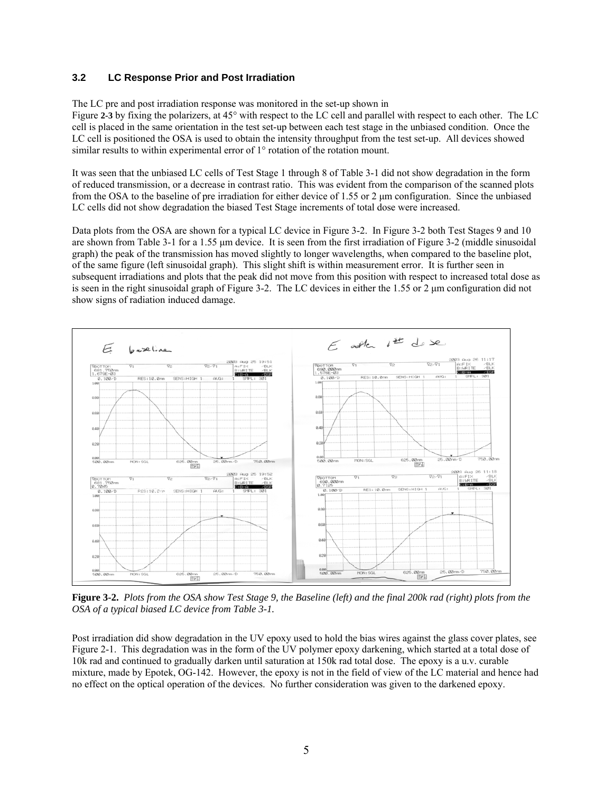### **3.2 LC Response Prior and Post Irradiation**

The LC pre and post irradiation response was monitored in the set-up shown in

Figure **2-3** by fixing the polarizers, at 45° with respect to the LC cell and parallel with respect to each other. The LC cell is placed in the same orientation in the test set-up between each test stage in the unbiased condition. Once the LC cell is positioned the OSA is used to obtain the intensity throughput from the test set-up. All devices showed similar results to within experimental error of 1° rotation of the rotation mount.

It was seen that the unbiased LC cells of Test Stage 1 through 8 of Table 3-1 did not show degradation in the form of reduced transmission, or a decrease in contrast ratio. This was evident from the comparison of the scanned plots from the OSA to the baseline of pre irradiation for either device of 1.55 or 2 µm configuration. Since the unbiased LC cells did not show degradation the biased Test Stage increments of total dose were increased.

Data plots from the OSA are shown for a typical LC device in Figure 3-2. In Figure 3-2 both Test Stages 9 and 10 are shown from Table 3-1 for a 1.55 µm device. It is seen from the first irradiation of Figure 3-2 (middle sinusoidal graph) the peak of the transmission has moved slightly to longer wavelengths, when compared to the baseline plot, of the same figure (left sinusoidal graph). This slight shift is within measurement error. It is further seen in subsequent irradiations and plots that the peak did not move from this position with respect to increased total dose as is seen in the right sinusoidal graph of Figure 3-2. The LC devices in either the  $1.55$  or 2  $\mu$ m configuration did not show signs of radiation induced damage.



**Figure 3-2.** *Plots from the OSA show Test Stage 9, the Baseline (left) and the final 200k rad (right) plots from the OSA of a typical biased LC device from Table 3-1.* 

Post irradiation did show degradation in the UV epoxy used to hold the bias wires against the glass cover plates, see Figure 2-1. This degradation was in the form of the UV polymer epoxy darkening, which started at a total dose of 10k rad and continued to gradually darken until saturation at 150k rad total dose. The epoxy is a u.v. curable mixture, made by Epotek, OG-142. However, the epoxy is not in the field of view of the LC material and hence had no effect on the optical operation of the devices. No further consideration was given to the darkened epoxy.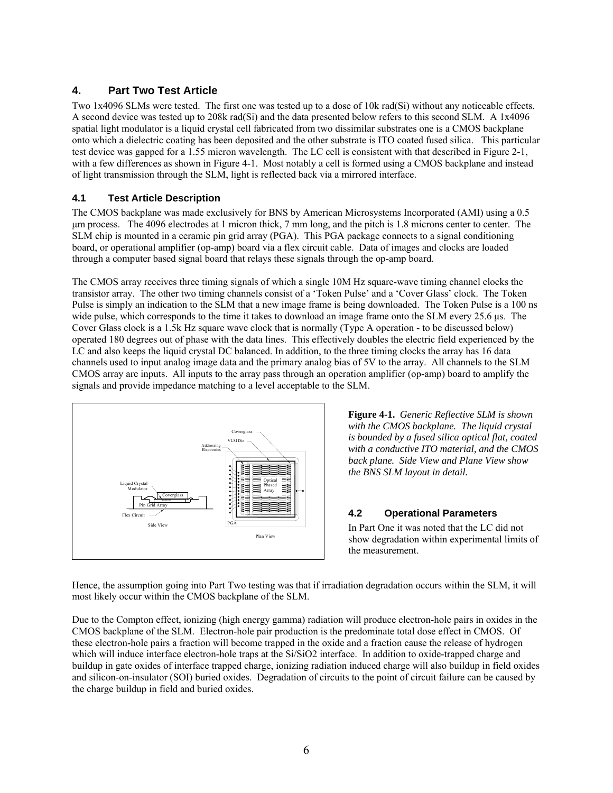# **4. Part Two Test Article**

Two 1x4096 SLMs were tested. The first one was tested up to a dose of 10k rad(Si) without any noticeable effects. A second device was tested up to 208k rad(Si) and the data presented below refers to this second SLM. A 1x4096 spatial light modulator is a liquid crystal cell fabricated from two dissimilar substrates one is a CMOS backplane onto which a dielectric coating has been deposited and the other substrate is ITO coated fused silica. This particular test device was gapped for a 1.55 micron wavelength. The LC cell is consistent with that described in Figure 2-1, with a few differences as shown in Figure 4-1. Most notably a cell is formed using a CMOS backplane and instead of light transmission through the SLM, light is reflected back via a mirrored interface.

# **4.1 Test Article Description**

The CMOS backplane was made exclusively for BNS by American Microsystems Incorporated (AMI) using a 0.5 µm process. The 4096 electrodes at 1 micron thick, 7 mm long, and the pitch is 1.8 microns center to center. The SLM chip is mounted in a ceramic pin grid array (PGA). This PGA package connects to a signal conditioning board, or operational amplifier (op-amp) board via a flex circuit cable. Data of images and clocks are loaded through a computer based signal board that relays these signals through the op-amp board.

The CMOS array receives three timing signals of which a single 10M Hz square-wave timing channel clocks the transistor array. The other two timing channels consist of a 'Token Pulse' and a 'Cover Glass' clock. The Token Pulse is simply an indication to the SLM that a new image frame is being downloaded. The Token Pulse is a 100 ns wide pulse, which corresponds to the time it takes to download an image frame onto the SLM every 25.6 µs. The Cover Glass clock is a 1.5k Hz square wave clock that is normally (Type A operation - to be discussed below) operated 180 degrees out of phase with the data lines. This effectively doubles the electric field experienced by the LC and also keeps the liquid crystal DC balanced. In addition, to the three timing clocks the array has 16 data channels used to input analog image data and the primary analog bias of 5V to the array. All channels to the SLM CMOS array are inputs. All inputs to the array pass through an operation amplifier (op-amp) board to amplify the signals and provide impedance matching to a level acceptable to the SLM.



**Figure 4-1.** *Generic Reflective SLM is shown with the CMOS backplane. The liquid crystal is bounded by a fused silica optical flat, coated with a conductive ITO material, and the CMOS back plane. Side View and Plane View show the BNS SLM layout in detail.* 

# **4.2 Operational Parameters**

In Part One it was noted that the LC did not show degradation within experimental limits of the measurement.

Hence, the assumption going into Part Two testing was that if irradiation degradation occurs within the SLM, it will most likely occur within the CMOS backplane of the SLM.

Due to the Compton effect, ionizing (high energy gamma) radiation will produce electron-hole pairs in oxides in the CMOS backplane of the SLM. Electron-hole pair production is the predominate total dose effect in CMOS. Of these electron-hole pairs a fraction will become trapped in the oxide and a fraction cause the release of hydrogen which will induce interface electron-hole traps at the Si/SiO2 interface. In addition to oxide-trapped charge and buildup in gate oxides of interface trapped charge, ionizing radiation induced charge will also buildup in field oxides and silicon-on-insulator (SOI) buried oxides. Degradation of circuits to the point of circuit failure can be caused by the charge buildup in field and buried oxides.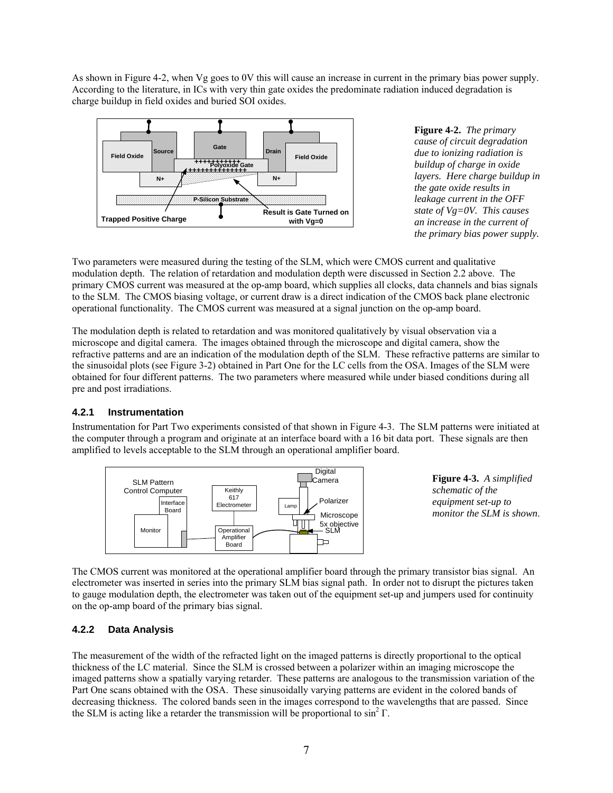As shown in Figure 4-2, when Vg goes to 0V this will cause an increase in current in the primary bias power supply. According to the literature, in ICs with very thin gate oxides the predominate radiation induced degradation is charge buildup in field oxides and buried SOI oxides.



**Figure 4-2.** *The primary cause of circuit degradation due to ionizing radiation is buildup of charge in oxide layers. Here charge buildup in the gate oxide results in leakage current in the OFF state of Vg=0V. This causes an increase in the current of the primary bias power supply.* 

Two parameters were measured during the testing of the SLM, which were CMOS current and qualitative modulation depth. The relation of retardation and modulation depth were discussed in Section 2.2 above. The primary CMOS current was measured at the op-amp board, which supplies all clocks, data channels and bias signals to the SLM. The CMOS biasing voltage, or current draw is a direct indication of the CMOS back plane electronic operational functionality. The CMOS current was measured at a signal junction on the op-amp board.

The modulation depth is related to retardation and was monitored qualitatively by visual observation via a microscope and digital camera. The images obtained through the microscope and digital camera, show the refractive patterns and are an indication of the modulation depth of the SLM. These refractive patterns are similar to the sinusoidal plots (see Figure 3-2) obtained in Part One for the LC cells from the OSA. Images of the SLM were obtained for four different patterns. The two parameters where measured while under biased conditions during all pre and post irradiations.

# **4.2.1 Instrumentation**

Instrumentation for Part Two experiments consisted of that shown in Figure 4-3. The SLM patterns were initiated at the computer through a program and originate at an interface board with a 16 bit data port. These signals are then amplified to levels acceptable to the SLM through an operational amplifier board.



**Figure 4-3.** *A simplified schematic of the equipment set-up to monitor the SLM is shown*.

The CMOS current was monitored at the operational amplifier board through the primary transistor bias signal. An electrometer was inserted in series into the primary SLM bias signal path. In order not to disrupt the pictures taken to gauge modulation depth, the electrometer was taken out of the equipment set-up and jumpers used for continuity on the op-amp board of the primary bias signal.

# **4.2.2 Data Analysis**

The measurement of the width of the refracted light on the imaged patterns is directly proportional to the optical thickness of the LC material. Since the SLM is crossed between a polarizer within an imaging microscope the imaged patterns show a spatially varying retarder. These patterns are analogous to the transmission variation of the Part One scans obtained with the OSA. These sinusoidally varying patterns are evident in the colored bands of decreasing thickness. The colored bands seen in the images correspond to the wavelengths that are passed. Since the SLM is acting like a retarder the transmission will be proportional to  $\sin^2 \Gamma$ .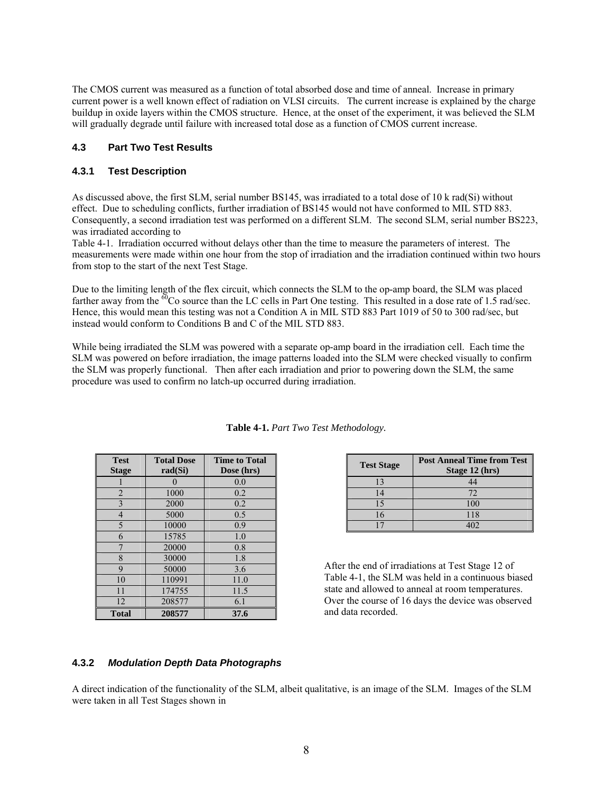The CMOS current was measured as a function of total absorbed dose and time of anneal. Increase in primary current power is a well known effect of radiation on VLSI circuits. The current increase is explained by the charge buildup in oxide layers within the CMOS structure. Hence, at the onset of the experiment, it was believed the SLM will gradually degrade until failure with increased total dose as a function of CMOS current increase.

### **4.3 Part Two Test Results**

### **4.3.1 Test Description**

As discussed above, the first SLM, serial number BS145, was irradiated to a total dose of 10 k rad(Si) without effect. Due to scheduling conflicts, further irradiation of BS145 would not have conformed to MIL STD 883. Consequently, a second irradiation test was performed on a different SLM. The second SLM, serial number BS223, was irradiated according to

Table 4-1. Irradiation occurred without delays other than the time to measure the parameters of interest. The measurements were made within one hour from the stop of irradiation and the irradiation continued within two hours from stop to the start of the next Test Stage.

Due to the limiting length of the flex circuit, which connects the SLM to the op-amp board, the SLM was placed farther away from the  ${}^{60}$ Co source than the LC cells in Part One testing. This resulted in a dose rate of 1.5 rad/sec. Hence, this would mean this testing was not a Condition A in MIL STD 883 Part 1019 of 50 to 300 rad/sec, but instead would conform to Conditions B and C of the MIL STD 883.

While being irradiated the SLM was powered with a separate op-amp board in the irradiation cell. Each time the SLM was powered on before irradiation, the image patterns loaded into the SLM were checked visually to confirm the SLM was properly functional. Then after each irradiation and prior to powering down the SLM, the same procedure was used to confirm no latch-up occurred during irradiation.

| <b>Test</b><br><b>Stage</b> | <b>Total Dose</b><br>rad(Si) | <b>Time to Total</b><br>Dose (hrs) |
|-----------------------------|------------------------------|------------------------------------|
|                             |                              | 0.0                                |
| $\overline{2}$              | 1000                         | 0.2                                |
| 3                           | 2000                         | 0.2                                |
| $\overline{4}$              | 5000                         | 0.5                                |
| 5                           | 10000                        | 0.9                                |
| 6                           | 15785                        | 1.0                                |
| 7                           | 20000                        | 0.8                                |
| 8                           | 30000                        | 1.8                                |
| 9                           | 50000                        | 3.6                                |
| 10                          | 110991                       | 11.0                               |
| 11                          | 174755                       | 11.5                               |
| 12                          | 208577                       | 6.1                                |
| Total                       | 208577                       | 37.6                               |

### **Table 4-1.** *Part Two Test Methodology.*

| <b>Test Stage</b> | <b>Post Anneal Time from Test</b><br>Stage 12 (hrs) |
|-------------------|-----------------------------------------------------|
|                   | 44                                                  |
|                   | 72.                                                 |
|                   | 100                                                 |
| 16                | 118                                                 |
|                   |                                                     |

After the end of irradiations at Test Stage 12 of Table 4-1, the SLM was held in a continuous biased state and allowed to anneal at room temperatures. Over the course of 16 days the device was observed and data recorded.

### **4.3.2** *Modulation Depth Data Photographs*

A direct indication of the functionality of the SLM, albeit qualitative, is an image of the SLM. Images of the SLM were taken in all Test Stages shown in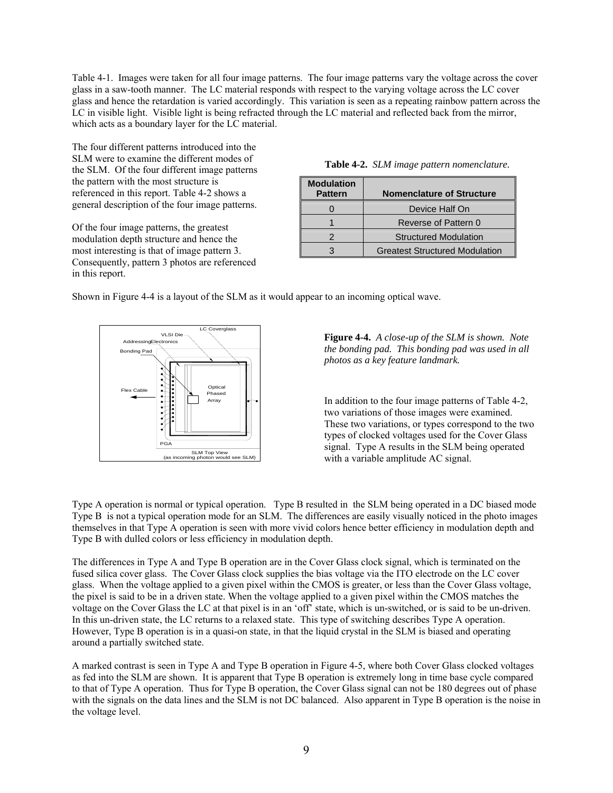Table 4-1. Images were taken for all four image patterns. The four image patterns vary the voltage across the cover glass in a saw-tooth manner. The LC material responds with respect to the varying voltage across the LC cover glass and hence the retardation is varied accordingly. This variation is seen as a repeating rainbow pattern across the LC in visible light. Visible light is being refracted through the LC material and reflected back from the mirror, which acts as a boundary layer for the LC material.

The four different patterns introduced into the SLM were to examine the different modes of the SLM. Of the four different image patterns the pattern with the most structure is referenced in this report. Table 4-2 shows a general description of the four image patterns.

Of the four image patterns, the greatest modulation depth structure and hence the most interesting is that of image pattern 3. Consequently, pattern 3 photos are referenced in this report.

| <b>Modulation</b><br><b>Pattern</b> | <b>Nomenclature of Structure</b>      |  |
|-------------------------------------|---------------------------------------|--|
|                                     | Device Half On                        |  |
|                                     | Reverse of Pattern 0                  |  |
| 2                                   | <b>Structured Modulation</b>          |  |
| 3                                   | <b>Greatest Structured Modulation</b> |  |

Shown in Figure 4-4 is a layout of the SLM as it would appear to an incoming optical wave.



**Figure 4-4.** *A close-up of the SLM is shown. Note the bonding pad. This bonding pad was used in all photos as a key feature landmark.* 

In addition to the four image patterns of Table 4-2, two variations of those images were examined. These two variations, or types correspond to the two types of clocked voltages used for the Cover Glass signal. Type A results in the SLM being operated with a variable amplitude AC signal.

Type A operation is normal or typical operation.Type B resulted in the SLM being operated in a DC biased mode Type B is not a typical operation mode for an SLM. The differences are easily visually noticed in the photo images themselves in that Type A operation is seen with more vivid colors hence better efficiency in modulation depth and Type B with dulled colors or less efficiency in modulation depth.

The differences in Type A and Type B operation are in the Cover Glass clock signal, which is terminated on the fused silica cover glass. The Cover Glass clock supplies the bias voltage via the ITO electrode on the LC cover glass. When the voltage applied to a given pixel within the CMOS is greater, or less than the Cover Glass voltage, the pixel is said to be in a driven state. When the voltage applied to a given pixel within the CMOS matches the voltage on the Cover Glass the LC at that pixel is in an 'off' state, which is un-switched, or is said to be un-driven. In this un-driven state, the LC returns to a relaxed state. This type of switching describes Type A operation. However, Type B operation is in a quasi-on state, in that the liquid crystal in the SLM is biased and operating around a partially switched state.

A marked contrast is seen in Type A and Type B operation in Figure 4-5, where both Cover Glass clocked voltages as fed into the SLM are shown. It is apparent that Type B operation is extremely long in time base cycle compared to that of Type A operation. Thus for Type B operation, the Cover Glass signal can not be 180 degrees out of phase with the signals on the data lines and the SLM is not DC balanced. Also apparent in Type B operation is the noise in the voltage level.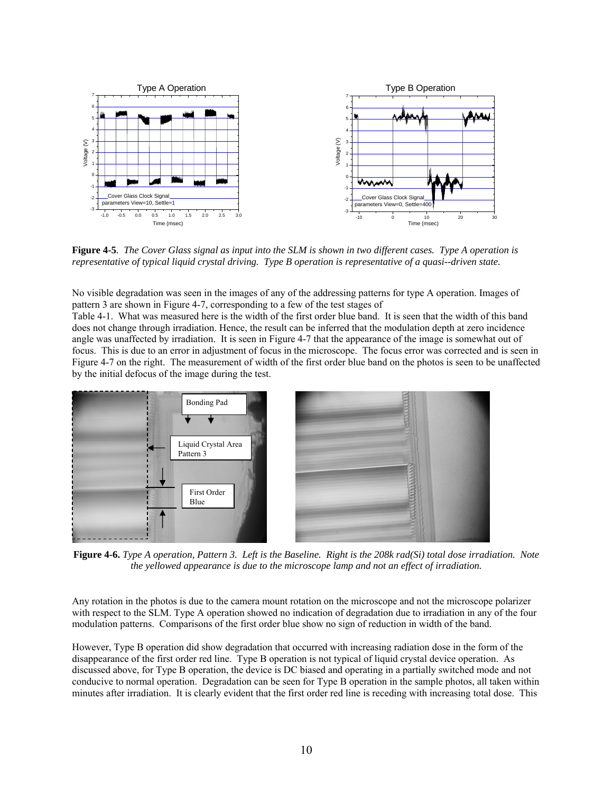

**Figure 4-5***. The Cover Glass signal as input into the SLM is shown in two different cases. Type A operation is representative of typical liquid crystal driving. Type B operation is representative of a quasi--driven state.* 

No visible degradation was seen in the images of any of the addressing patterns for type A operation. Images of pattern 3 are shown in Figure 4-7, corresponding to a few of the test stages of

Table 4-1. What was measured here is the width of the first order blue band. It is seen that the width of this band does not change through irradiation. Hence, the result can be inferred that the modulation depth at zero incidence angle was unaffected by irradiation. It is seen in Figure 4-7 that the appearance of the image is somewhat out of focus. This is due to an error in adjustment of focus in the microscope. The focus error was corrected and is seen in Figure 4-7 on the right. The measurement of width of the first order blue band on the photos is seen to be unaffected by the initial defocus of the image during the test.



**Figure 4-6.** *Type A operation, Pattern 3. Left is the Baseline. Right is the 208k rad(Si) total dose irradiation. Note the yellowed appearance is due to the microscope lamp and not an effect of irradiation.*

Any rotation in the photos is due to the camera mount rotation on the microscope and not the microscope polarizer with respect to the SLM. Type A operation showed no indication of degradation due to irradiation in any of the four modulation patterns. Comparisons of the first order blue show no sign of reduction in width of the band.

However, Type B operation did show degradation that occurred with increasing radiation dose in the form of the disappearance of the first order red line. Type B operation is not typical of liquid crystal device operation. As discussed above, for Type B operation, the device is DC biased and operating in a partially switched mode and not conducive to normal operation. Degradation can be seen for Type B operation in the sample photos, all taken within minutes after irradiation. It is clearly evident that the first order red line is receding with increasing total dose. This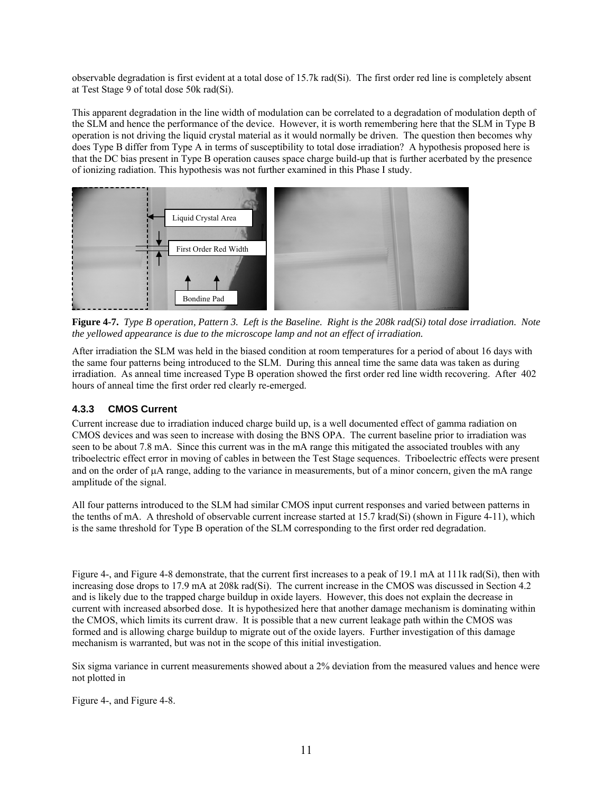observable degradation is first evident at a total dose of 15.7k rad(Si). The first order red line is completely absent at Test Stage 9 of total dose 50k rad(Si).

This apparent degradation in the line width of modulation can be correlated to a degradation of modulation depth of the SLM and hence the performance of the device. However, it is worth remembering here that the SLM in Type B operation is not driving the liquid crystal material as it would normally be driven. The question then becomes why does Type B differ from Type A in terms of susceptibility to total dose irradiation? A hypothesis proposed here is that the DC bias present in Type B operation causes space charge build-up that is further acerbated by the presence of ionizing radiation. This hypothesis was not further examined in this Phase I study.



**Figure 4-7.** *Type B operation, Pattern 3. Left is the Baseline. Right is the 208k rad(Si) total dose irradiation. Note the yellowed appearance is due to the microscope lamp and not an effect of irradiation.*

After irradiation the SLM was held in the biased condition at room temperatures for a period of about 16 days with the same four patterns being introduced to the SLM. During this anneal time the same data was taken as during irradiation. As anneal time increased Type B operation showed the first order red line width recovering. After 402 hours of anneal time the first order red clearly re-emerged.

# **4.3.3 CMOS Current**

Current increase due to irradiation induced charge build up, is a well documented effect of gamma radiation on CMOS devices and was seen to increase with dosing the BNS OPA. The current baseline prior to irradiation was seen to be about 7.8 mA. Since this current was in the mA range this mitigated the associated troubles with any triboelectric effect error in moving of cables in between the Test Stage sequences. Triboelectric effects were present and on the order of µA range, adding to the variance in measurements, but of a minor concern, given the mA range amplitude of the signal.

All four patterns introduced to the SLM had similar CMOS input current responses and varied between patterns in the tenths of mA. A threshold of observable current increase started at 15.7 krad(Si) (shown in Figure 4-11), which is the same threshold for Type B operation of the SLM corresponding to the first order red degradation.

Figure 4-, and Figure 4-8 demonstrate, that the current first increases to a peak of 19.1 mA at 111k rad(Si), then with increasing dose drops to 17.9 mA at 208k rad(Si). The current increase in the CMOS was discussed in Section 4.2 and is likely due to the trapped charge buildup in oxide layers. However, this does not explain the decrease in current with increased absorbed dose. It is hypothesized here that another damage mechanism is dominating within the CMOS, which limits its current draw. It is possible that a new current leakage path within the CMOS was formed and is allowing charge buildup to migrate out of the oxide layers. Further investigation of this damage mechanism is warranted, but was not in the scope of this initial investigation.

Six sigma variance in current measurements showed about a 2% deviation from the measured values and hence were not plotted in

Figure 4-, and Figure 4-8.